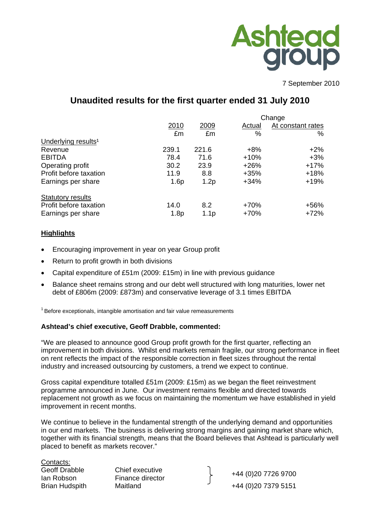

7 September 2010

# **Unaudited results for the first quarter ended 31 July 2010**

|                                 | Change |                  |        |                   |  |  |
|---------------------------------|--------|------------------|--------|-------------------|--|--|
|                                 | 2010   | 2009             | Actual | At constant rates |  |  |
|                                 | £m     | £m               | %      | %                 |  |  |
| Underlying results <sup>1</sup> |        |                  |        |                   |  |  |
| Revenue                         | 239.1  | 221.6            | $+8%$  | $+2%$             |  |  |
| <b>EBITDA</b>                   | 78.4   | 71.6             | $+10%$ | $+3%$             |  |  |
| Operating profit                | 30.2   | 23.9             | $+26%$ | $+17%$            |  |  |
| Profit before taxation          | 11.9   | 8.8              | $+35%$ | $+18%$            |  |  |
| Earnings per share              | 1.6p   | 1.2p             | $+34%$ | $+19%$            |  |  |
| <b>Statutory results</b>        |        |                  |        |                   |  |  |
| Profit before taxation          | 14.0   | 8.2              | $+70%$ | +56%              |  |  |
| Earnings per share              | 1.8p   | 1.1 <sub>p</sub> | $+70%$ | $+72%$            |  |  |

### **Highlights**

- Encouraging improvement in year on year Group profit
- Return to profit growth in both divisions
- Capital expenditure of £51m (2009: £15m) in line with previous guidance
- Balance sheet remains strong and our debt well structured with long maturities, lower net debt of £806m (2009: £873m) and conservative leverage of 3.1 times EBITDA

<sup>1</sup> Before exceptionals, intangible amortisation and fair value remeasurements

### **Ashtead's chief executive, Geoff Drabble, commented:**

"We are pleased to announce good Group profit growth for the first quarter, reflecting an improvement in both divisions. Whilst end markets remain fragile, our strong performance in fleet on rent reflects the impact of the responsible correction in fleet sizes throughout the rental industry and increased outsourcing by customers, a trend we expect to continue.

Gross capital expenditure totalled £51m (2009: £15m) as we began the fleet reinvestment programme announced in June. Our investment remains flexible and directed towards replacement not growth as we focus on maintaining the momentum we have established in yield improvement in recent months.

We continue to believe in the fundamental strength of the underlying demand and opportunities in our end markets. The business is delivering strong margins and gaining market share which, together with its financial strength, means that the Board believes that Ashtead is particularly well placed to benefit as markets recover."

Contacts:

Geoff Drabble Chief executive



Ian Robson Finance director +44 (0)20 7726 9700 Brian Hudspith Maitland +44 (0)20 7379 5151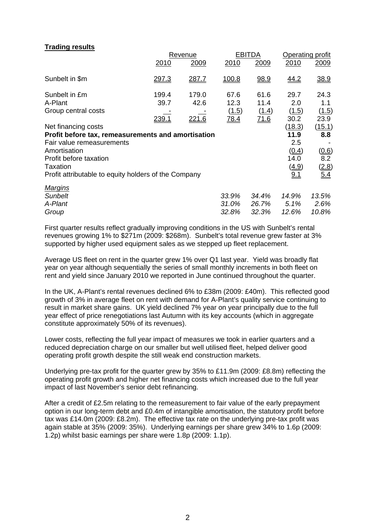### **Trading results**

|                                                           |       | Revenue       |       | <b>EBITDA</b> | Operating profit |        |
|-----------------------------------------------------------|-------|---------------|-------|---------------|------------------|--------|
|                                                           | 2010  | 2009          | 2010  | 2009          | 2010             | 2009   |
| Sunbelt in \$m                                            | 297.3 | 287.7         | 100.8 | 98.9          | 44.2             | 38.9   |
| Sunbelt in £m                                             | 199.4 | 179.0         | 67.6  | 61.6          | 29.7             | 24.3   |
| A-Plant                                                   | 39.7  | 42.6          | 12.3  | 11.4          | 2.0              | 1.1    |
| Group central costs                                       |       |               | (1.5) | (1.4)         | (1.5)            | (1.5)  |
|                                                           | 239.1 | <u> 221.6</u> | 78.4  | <u>71.6</u>   | 30.2             | 23.9   |
| Net financing costs                                       |       |               |       |               | (18.3)           | (15.1) |
| <b>Profit before tax, remeasurements and amortisation</b> |       |               |       |               | 11.9             | 8.8    |
| Fair value remeasurements                                 |       |               |       |               | 2.5              |        |
| Amortisation                                              |       |               |       |               | (0.4)            | (0.6)  |
| Profit before taxation                                    |       |               |       |               | 14.0             | 8.2    |
| Taxation                                                  |       |               |       |               | <u>(4.9)</u>     | (2.8)  |
| Profit attributable to equity holders of the Company      |       |               |       |               | 9.1              | 5.4    |
| <b>Margins</b>                                            |       |               |       |               |                  |        |
| <b>Sunbelt</b>                                            |       |               | 33.9% | 34.4%         | 14.9%            | 13.5%  |
| A-Plant                                                   |       |               | 31.0% | 26.7%         | 5.1%             | 2.6%   |
| Group                                                     |       |               | 32.8% | 32.3%         | 12.6%            | 10.8%  |

First quarter results reflect gradually improving conditions in the US with Sunbelt's rental revenues growing 1% to \$271m (2009: \$268m). Sunbelt's total revenue grew faster at 3% supported by higher used equipment sales as we stepped up fleet replacement.

Average US fleet on rent in the quarter grew 1% over Q1 last year. Yield was broadly flat year on year although sequentially the series of small monthly increments in both fleet on rent and yield since January 2010 we reported in June continued throughout the quarter.

In the UK, A-Plant's rental revenues declined 6% to £38m (2009: £40m). This reflected good growth of 3% in average fleet on rent with demand for A-Plant's quality service continuing to result in market share gains. UK yield declined 7% year on year principally due to the full year effect of price renegotiations last Autumn with its key accounts (which in aggregate constitute approximately 50% of its revenues).

Lower costs, reflecting the full year impact of measures we took in earlier quarters and a reduced depreciation charge on our smaller but well utilised fleet, helped deliver good operating profit growth despite the still weak end construction markets.

Underlying pre-tax profit for the quarter grew by 35% to £11.9m (2009: £8.8m) reflecting the operating profit growth and higher net financing costs which increased due to the full year impact of last November's senior debt refinancing.

After a credit of £2.5m relating to the remeasurement to fair value of the early prepayment option in our long-term debt and £0.4m of intangible amortisation, the statutory profit before tax was £14.0m (2009: £8.2m). The effective tax rate on the underlying pre-tax profit was again stable at 35% (2009: 35%). Underlying earnings per share grew 34% to 1.6p (2009: 1.2p) whilst basic earnings per share were 1.8p (2009: 1.1p).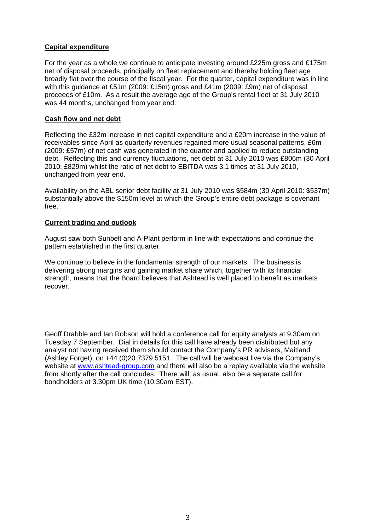# **Capital expenditure**

For the year as a whole we continue to anticipate investing around £225m gross and £175m net of disposal proceeds, principally on fleet replacement and thereby holding fleet age broadly flat over the course of the fiscal year. For the quarter, capital expenditure was in line with this guidance at £51m (2009: £15m) gross and £41m (2009: £9m) net of disposal proceeds of £10m. As a result the average age of the Group's rental fleet at 31 July 2010 was 44 months, unchanged from year end.

### **Cash flow and net debt**

Reflecting the £32m increase in net capital expenditure and a £20m increase in the value of receivables since April as quarterly revenues regained more usual seasonal patterns, £6m (2009: £57m) of net cash was generated in the quarter and applied to reduce outstanding debt. Reflecting this and currency fluctuations, net debt at 31 July 2010 was £806m (30 April 2010: £829m) whilst the ratio of net debt to EBITDA was 3.1 times at 31 July 2010, unchanged from year end.

Availability on the ABL senior debt facility at 31 July 2010 was \$584m (30 April 2010: \$537m) substantially above the \$150m level at which the Group's entire debt package is covenant free.

#### **Current trading and outlook**

August saw both Sunbelt and A-Plant perform in line with expectations and continue the pattern established in the first quarter.

We continue to believe in the fundamental strength of our markets. The business is delivering strong margins and gaining market share which, together with its financial strength, means that the Board believes that Ashtead is well placed to benefit as markets recover.

Geoff Drabble and Ian Robson will hold a conference call for equity analysts at 9.30am on Tuesday 7 September. Dial in details for this call have already been distributed but any analyst not having received them should contact the Company's PR advisers, Maitland (Ashley Forget), on +44 (0)20 7379 5151. The call will be webcast live via the Company's website at [www.ashtead-group.com](http://www.ashtead-group.com/) and there will also be a replay available via the website from shortly after the call concludes. There will, as usual, also be a separate call for bondholders at 3.30pm UK time (10.30am EST).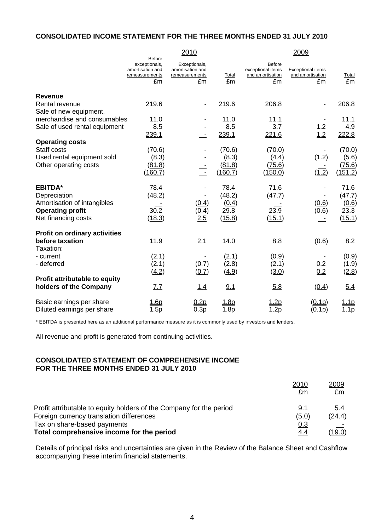### **CONSOLIDATED INCOME STATEMENT FOR THE THREE MONTHS ENDED 31 JULY 2010**

|                                      |                                                                            | 2010                                                      |             |                                                              | <u> 2009</u>                                       |                |
|--------------------------------------|----------------------------------------------------------------------------|-----------------------------------------------------------|-------------|--------------------------------------------------------------|----------------------------------------------------|----------------|
|                                      | <b>Before</b><br>exceptionals,<br>amortisation and<br>remeasurements<br>£m | Exceptionals,<br>amortisation and<br>remeasurements<br>£m | Total<br>£m | <b>Before</b><br>exceptional items<br>and amortisation<br>£m | <b>Exceptional items</b><br>and amortisation<br>£m | Total<br>£m    |
| <b>Revenue</b>                       |                                                                            |                                                           |             |                                                              |                                                    |                |
| Rental revenue                       | 219.6                                                                      |                                                           | 219.6       | 206.8                                                        |                                                    | 206.8          |
| Sale of new equipment,               |                                                                            |                                                           |             |                                                              |                                                    |                |
| merchandise and consumables          | 11.0                                                                       |                                                           | 11.0        | 11.1                                                         |                                                    | 11.1           |
| Sale of used rental equipment        | 8.5                                                                        |                                                           | 8.5         | 3.7                                                          | $\frac{1.2}{1.2}$                                  | 4.9            |
|                                      | 239.1                                                                      |                                                           | 239.1       | 221.6                                                        |                                                    | 222.8          |
| <b>Operating costs</b>               |                                                                            |                                                           |             |                                                              |                                                    |                |
| Staff costs                          | (70.6)                                                                     |                                                           | (70.6)      | (70.0)                                                       |                                                    | (70.0)         |
| Used rental equipment sold           | (8.3)                                                                      |                                                           | (8.3)       | (4.4)                                                        | (1.2)                                              | (5.6)          |
| Other operating costs                | (81.8)                                                                     |                                                           | (81.8)      | (75.6)                                                       |                                                    | (75.6)         |
|                                      | (160.7)                                                                    |                                                           | (160.7)     | (150.0)                                                      | (1.2)                                              | <u>(151.2)</u> |
| <b>EBITDA*</b>                       | 78.4                                                                       |                                                           | 78.4        | 71.6                                                         |                                                    | 71.6           |
| Depreciation                         | (48.2)                                                                     |                                                           | (48.2)      | (47.7)                                                       |                                                    | (47.7)         |
| Amortisation of intangibles          |                                                                            | (0.4)                                                     | (0.4)       |                                                              | (0.6)                                              | (0.6)          |
| <b>Operating profit</b>              | 30.2                                                                       | (0.4)                                                     | 29.8        | 23.9                                                         | (0.6)                                              | 23.3           |
| Net financing costs                  | (18.3)                                                                     | 2.5                                                       | (15.8)      | (15.1)                                                       |                                                    | (15.1)         |
|                                      |                                                                            |                                                           |             |                                                              |                                                    |                |
| <b>Profit on ordinary activities</b> |                                                                            |                                                           |             |                                                              |                                                    |                |
| before taxation                      | 11.9                                                                       | 2.1                                                       | 14.0        | 8.8                                                          | (0.6)                                              | 8.2            |
| Taxation:                            |                                                                            |                                                           |             |                                                              |                                                    |                |
| - current                            | (2.1)                                                                      |                                                           | (2.1)       | (0.9)                                                        |                                                    | (0.9)          |
| - deferred                           | (2.1)                                                                      | (0.7)                                                     | (2.8)       | (2.1)                                                        | 0.2                                                | (1.9)          |
|                                      | (4.2)                                                                      | (0.7)                                                     | (4.9)       | (3.0)                                                        | 0.2                                                | (2.8)          |
| <b>Profit attributable to equity</b> |                                                                            |                                                           |             |                                                              |                                                    |                |
| holders of the Company               | <u>Z.Z</u>                                                                 | <u> 1.4</u>                                               | 9.1         | 5.8                                                          | (0.4)                                              | 5.4            |
| Basic earnings per share             | <u> 1.6p</u>                                                               | 0.2p                                                      | 1.8p        | .2p                                                          | (0.1p)                                             | <u>.1p</u>     |
| Diluted earnings per share           | <u>1.5p</u>                                                                | 0.3p                                                      | 1.8p        | <u>1.2p</u>                                                  | (0.1p)                                             | <u>.1p</u>     |

\* EBITDA is presented here as an additional performance measure as it is commonly used by investors and lenders.

All revenue and profit is generated from continuing activities.

### **CONSOLIDATED STATEMENT OF COMPREHENSIVE INCOME FOR THE THREE MONTHS ENDED 31 JULY 2010**

|                                                                     | 2010       | 2009          |
|---------------------------------------------------------------------|------------|---------------|
|                                                                     | £m         | £m            |
| Profit attributable to equity holders of the Company for the period | 9.1        | 5.4           |
| Foreign currency translation differences                            | (5.0)      | (24.4)        |
| Tax on share-based payments                                         | 0.3        |               |
| Total comprehensive income for the period                           | <u>4.4</u> | <u>(19.0)</u> |

Details of principal risks and uncertainties are given in the Review of the Balance Sheet and Cashflow accompanying these interim financial statements.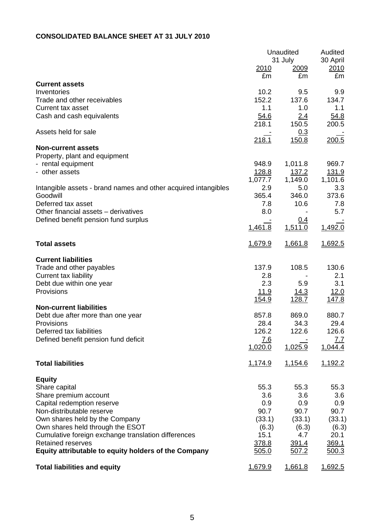# **CONSOLIDATED BALANCE SHEET AT 31 JULY 2010**

|                                                                    | 2010<br>£m      | Unaudited<br>31 July<br>2009<br>£m | Audited<br>30 April<br>2010<br>£m |  |
|--------------------------------------------------------------------|-----------------|------------------------------------|-----------------------------------|--|
| <b>Current assets</b>                                              |                 |                                    |                                   |  |
| Inventories<br>Trade and other receivables                         | 10.2<br>152.2   | 9.5<br>137.6                       | 9.9<br>134.7                      |  |
| Current tax asset                                                  | 1.1             | 1.0                                | 1.1                               |  |
| Cash and cash equivalents                                          | 54.6            | 2.4                                | 54.8                              |  |
|                                                                    | 218.1           | 150.5                              | 200.5                             |  |
| Assets held for sale                                               |                 | 0.3                                |                                   |  |
|                                                                    | 218.1           | <u>150.8</u>                       | 200.5                             |  |
| <b>Non-current assets</b>                                          |                 |                                    |                                   |  |
| Property, plant and equipment                                      |                 |                                    |                                   |  |
| - rental equipment<br>- other assets                               | 948.9<br>128.8  | 1,011.8<br>137.2                   | 969.7<br><u>131.9</u>             |  |
|                                                                    | 1,077.7         | 1,149.0                            | 1,101.6                           |  |
| Intangible assets - brand names and other acquired intangibles     | 2.9             | 5.0                                | 3.3                               |  |
| Goodwill                                                           | 365.4           | 346.0                              | 373.6                             |  |
| Deferred tax asset                                                 | 7.8             | 10.6                               | 7.8                               |  |
| Other financial assets - derivatives                               | 8.0             |                                    | 5.7                               |  |
| Defined benefit pension fund surplus                               |                 | <u>0.4</u>                         |                                   |  |
|                                                                    | 1,461.8         | 1,511.0                            | 1,492.0                           |  |
| <b>Total assets</b>                                                | 1,679.9         | 1,661.8                            | 1,692.5                           |  |
| <b>Current liabilities</b>                                         |                 |                                    |                                   |  |
| Trade and other payables                                           | 137.9           | 108.5                              | 130.6                             |  |
| <b>Current tax liability</b>                                       | 2.8             |                                    | 2.1                               |  |
| Debt due within one year                                           | 2.3             | 5.9                                | 3.1                               |  |
| Provisions                                                         | <u>11.9</u>     | <u> 14.3</u>                       | 12.0                              |  |
|                                                                    | <u>154.9</u>    | 128.7                              | <u>147.8</u>                      |  |
| <b>Non-current liabilities</b>                                     |                 |                                    | 880.7                             |  |
| Debt due after more than one year<br>Provisions                    | 857.8<br>28.4   | 869.0<br>34.3                      | 29.4                              |  |
| Deferred tax liabilities                                           | 126.2           | 122.6                              | 126.6                             |  |
| Defined benefit pension fund deficit                               | <u>7.6</u>      |                                    | <u>7.7</u>                        |  |
|                                                                    | 1,020.0         | 1,025.9                            | 1,044.4                           |  |
|                                                                    |                 |                                    |                                   |  |
| <b>Total liabilities</b>                                           | 1,174.9         | 1,154.6                            | 1,192.2                           |  |
| <b>Equity</b>                                                      |                 |                                    |                                   |  |
| Share capital                                                      | 55.3            | 55.3                               | 55.3                              |  |
| Share premium account                                              | 3.6             | 3.6                                | 3.6                               |  |
| Capital redemption reserve                                         | 0.9             | 0.9                                | 0.9                               |  |
| Non-distributable reserve                                          | 90.7            | 90.7                               | 90.7                              |  |
| Own shares held by the Company<br>Own shares held through the ESOT | (33.1)<br>(6.3) | (33.1)<br>(6.3)                    | (33.1)<br>(6.3)                   |  |
| Cumulative foreign exchange translation differences                | 15.1            | 4.7                                | 20.1                              |  |
| <b>Retained reserves</b>                                           | 378.8           | 391.4                              | 369.1                             |  |
| Equity attributable to equity holders of the Company               | 505.0           | 507.2                              | 500.3                             |  |
| <b>Total liabilities and equity</b>                                | 1,679.9         | 1,661.8                            | 1,692.5                           |  |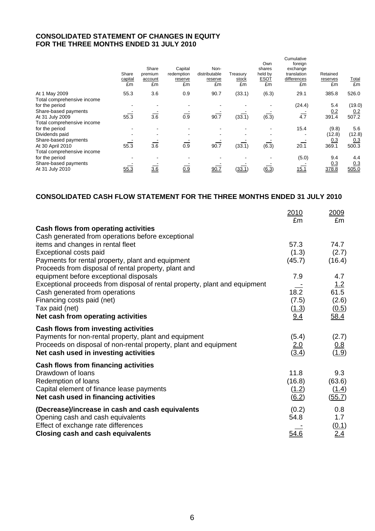### **CONSOLIDATED STATEMENT OF CHANGES IN EQUITY FOR THE THREE MONTHS ENDED 31 JULY 2010**

| Share<br>capital<br>£m | Share<br>premium<br>account<br>£m | Capital<br>redemption<br>reserve<br>£m | Non-<br>distributable<br>reserve<br>£m | Treasury<br>stock<br>£m | Own<br>shares<br>held by<br><b>ESOT</b><br>£m | Cumulative<br>foreign<br>exchange<br>translation<br>differences<br>£m | Retained<br>reserves<br>£m | <b>Total</b><br>£m     |
|------------------------|-----------------------------------|----------------------------------------|----------------------------------------|-------------------------|-----------------------------------------------|-----------------------------------------------------------------------|----------------------------|------------------------|
| 55.3                   | 3.6                               | 0.9                                    | 90.7                                   | (33.1)                  | (6.3)                                         | 29.1                                                                  | 385.8                      | 526.0                  |
|                        |                                   |                                        |                                        |                         |                                               | (24.4)                                                                | 5.4<br>0.2                 | (19.0)<br>0.2<br>507.2 |
|                        |                                   |                                        |                                        |                         |                                               |                                                                       |                            |                        |
|                        |                                   |                                        |                                        |                         |                                               | 15.4                                                                  | (9.8)                      | 5.6                    |
|                        |                                   |                                        |                                        |                         |                                               |                                                                       |                            | (12.8)                 |
| 55.3                   | 3.6                               | 0.9                                    | 90.7                                   | (33.1)                  | (6.3)                                         | 20.1                                                                  | 369.1                      | 0.3<br>500.3           |
|                        |                                   |                                        |                                        |                         |                                               | (5.0)                                                                 | 9.4                        | 4.4                    |
| 55.3                   | 3.6                               | 0.9                                    | 90.7                                   | (33.1)                  | (6.3)                                         | 15.1                                                                  | 0.3<br>378.8               | 0.3<br>505.0           |
|                        | 55.3                              | 3.6                                    | 0.9                                    | 90.7                    | (33.1)                                        | (6.3)                                                                 | $\overline{4.7}$           | 391.4<br>(12.8)<br>0.3 |

# **CONSOLIDATED CASH FLOW STATEMENT FOR THE THREE MONTHS ENDED 31 JULY 2010**

|                                                                            | 2010                | <u> 2009 </u>       |
|----------------------------------------------------------------------------|---------------------|---------------------|
|                                                                            | £m                  | £m                  |
| Cash flows from operating activities                                       |                     |                     |
| Cash generated from operations before exceptional                          |                     |                     |
| items and changes in rental fleet                                          | 57.3                | 74.7                |
| Exceptional costs paid                                                     | (1.3)               | (2.7)               |
| Payments for rental property, plant and equipment                          | (45.7)              | (16.4)              |
| Proceeds from disposal of rental property, plant and                       |                     |                     |
| equipment before exceptional disposals                                     | 7.9                 | 4.7                 |
| Exceptional proceeds from disposal of rental property, plant and equipment |                     | 1.2                 |
| Cash generated from operations                                             | 18.2                | 61.5                |
| Financing costs paid (net)                                                 | (7.5)               | (2.6)               |
| Tax paid (net)                                                             | (1.3)               | (0.5)               |
| Net cash from operating activities                                         | 9.4                 | 58.4                |
| Cash flows from investing activities                                       |                     |                     |
| Payments for non-rental property, plant and equipment                      | (5.4)               | (2.7)               |
| Proceeds on disposal of non-rental property, plant and equipment           | <u>2.0</u>          | 0.8                 |
| Net cash used in investing activities                                      | (3.4)               | (1.9)               |
| <b>Cash flows from financing activities</b>                                |                     |                     |
| Drawdown of loans                                                          | 11.8                | 9.3                 |
| Redemption of loans                                                        | (16.8)              | (63.6)              |
| Capital element of finance lease payments                                  | (1.2)               | (1.4)               |
| Net cash used in financing activities                                      | $\underline{(6.2)}$ | (55.7)              |
| (Decrease)/increase in cash and cash equivalents                           | (0.2)               | 0.8                 |
| Opening cash and cash equivalents                                          | 54.8                | 1.7                 |
| Effect of exchange rate differences                                        |                     |                     |
| <b>Closing cash and cash equivalents</b>                                   | 54.6                | $\frac{(0.1)}{2.4}$ |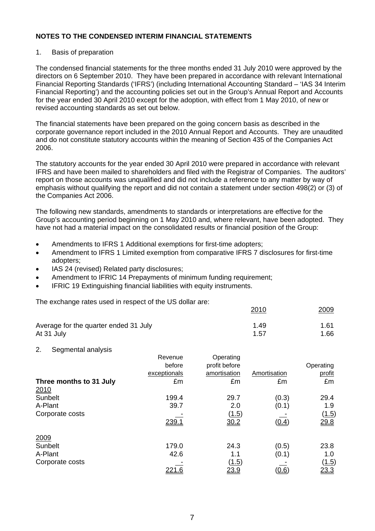### 1. Basis of preparation

The condensed financial statements for the three months ended 31 July 2010 were approved by the directors on 6 September 2010. They have been prepared in accordance with relevant International Financial Reporting Standards ('IFRS') (including International Accounting Standard – 'IAS 34 Interim Financial Reporting') and the accounting policies set out in the Group's Annual Report and Accounts for the year ended 30 April 2010 except for the adoption, with effect from 1 May 2010, of new or revised accounting standards as set out below.

The financial statements have been prepared on the going concern basis as described in the corporate governance report included in the 2010 Annual Report and Accounts. They are unaudited and do not constitute statutory accounts within the meaning of Section 435 of the Companies Act 2006.

The statutory accounts for the year ended 30 April 2010 were prepared in accordance with relevant IFRS and have been mailed to shareholders and filed with the Registrar of Companies. The auditors' report on those accounts was unqualified and did not include a reference to any matter by way of emphasis without qualifying the report and did not contain a statement under section 498(2) or (3) of the Companies Act 2006.

The following new standards, amendments to standards or interpretations are effective for the Group's accounting period beginning on 1 May 2010 and, where relevant, have been adopted. They have not had a material impact on the consolidated results or financial position of the Group:

- Amendments to IFRS 1 Additional exemptions for first-time adopters;
- Amendment to IFRS 1 Limited exemption from comparative IFRS 7 disclosures for first-time adopters;
- IAS 24 (revised) Related party disclosures;
- Amendment to IFRIC 14 Prepayments of minimum funding requirement;
- IFRIC 19 Extinguishing financial liabilities with equity instruments.

The exchange rates used in respect of the US dollar are:

|                                       | 2010 | 2009 |
|---------------------------------------|------|------|
| Average for the quarter ended 31 July | 1.49 | 1.61 |
| At 31 July                            | 1.57 | 1.66 |

2. Segmental analysis

|                         | Revenue      | Operating     |                |              |
|-------------------------|--------------|---------------|----------------|--------------|
|                         | before       | profit before |                | Operating    |
|                         | exceptionals | amortisation  | Amortisation   | profit       |
| Three months to 31 July | £m           | £m            | £m             | £m           |
| 2010                    |              |               |                |              |
| Sunbelt                 | 199.4        | 29.7          | (0.3)          | 29.4         |
| A-Plant                 | 39.7         | 2.0           | (0.1)          | 1.9          |
| Corporate costs         |              | (1.5)         |                | (1.5)        |
|                         | 239.1        | 30.2          | (0.4)          | 29.8         |
| 2009                    |              |               |                |              |
| Sunbelt                 | 179.0        | 24.3          | (0.5)          | 23.8         |
| A-Plant                 | 42.6         | 1.1           | (0.1)          | 1.0          |
| Corporate costs         |              | (1.5)         |                | <u>(1.5)</u> |
|                         | <u>221.6</u> | <u>23.9</u>   | ( <u>0.6</u> ) | 23.3         |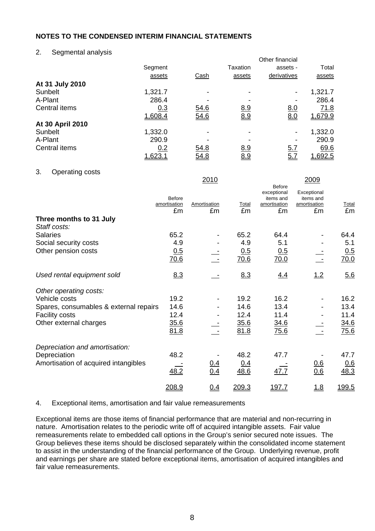#### 2. Segmental analysis

|                  |                |      |            | Other financial |         |
|------------------|----------------|------|------------|-----------------|---------|
|                  | Segment        |      | Taxation   | assets -        | Total   |
|                  | assets         | Cash | assets     | derivatives     | assets  |
| At 31 July 2010  |                |      |            |                 |         |
| Sunbelt          | 1,321.7        |      |            |                 | 1,321.7 |
| A-Plant          | 286.4          |      |            |                 | 286.4   |
| Central items    | 0.3            | 54.6 | <u>8.9</u> | 8.0             | 71.8    |
|                  | 1,608.4        | 54.6 | 8.9        | 8.0             | 1,679.9 |
| At 30 April 2010 |                |      |            |                 |         |
| Sunbelt          | 1,332.0        |      |            |                 | 1,332.0 |
| A-Plant          | 290.9          |      |            |                 | 290.9   |
| Central items    | 0.2            | 54.8 | <u>8.9</u> | <u>5.7</u>      | 69.6    |
|                  | <u>1,623.1</u> | 54.8 | 8.9        | 5.7             | 1,692.5 |

#### 3. Operating costs

|                                        | 2010                                |                    |             | 2009<br><b>Before</b>                          |                                                |             |
|----------------------------------------|-------------------------------------|--------------------|-------------|------------------------------------------------|------------------------------------------------|-------------|
|                                        | <b>Before</b><br>amortisation<br>£m | Amortisation<br>£m | Total<br>£m | exceptional<br>items and<br>amortisation<br>£m | Exceptional<br>items and<br>amortisation<br>£m | Total<br>£m |
| Three months to 31 July                |                                     |                    |             |                                                |                                                |             |
| Staff costs:                           |                                     |                    |             |                                                |                                                |             |
| <b>Salaries</b>                        | 65.2                                |                    | 65.2        | 64.4                                           |                                                | 64.4        |
| Social security costs                  | 4.9                                 |                    | 4.9         | 5.1                                            |                                                | 5.1         |
| Other pension costs                    | 0.5<br>70.6                         |                    | 0.5<br>70.6 | 0.5<br>70.0                                    |                                                | 0.5<br>70.0 |
| Used rental equipment sold             | 8.3                                 |                    | 8.3         | 4.4                                            | 1.2                                            | 5.6         |
| Other operating costs:                 |                                     |                    |             |                                                |                                                |             |
| Vehicle costs                          | 19.2                                |                    | 19.2        | 16.2                                           |                                                | 16.2        |
| Spares, consumables & external repairs | 14.6                                |                    | 14.6        | 13.4                                           |                                                | 13.4        |
| <b>Facility costs</b>                  | 12.4                                |                    | 12.4        | 11.4                                           |                                                | 11.4        |
| Other external charges                 | 35.6                                |                    | 35.6        | 34.6                                           |                                                | 34.6        |
|                                        | 81.8                                |                    | 81.8        | 75.6                                           |                                                | 75.6        |
| Depreciation and amortisation:         |                                     |                    |             |                                                |                                                |             |
| Depreciation                           | 48.2                                |                    | 48.2        | 47.7                                           |                                                | 47.7        |
| Amortisation of acquired intangibles   |                                     |                    | <u>0.4</u>  |                                                |                                                | <u>0.6</u>  |
|                                        | 48.2                                | $\frac{0.4}{0.4}$  | 48.6        | 47.7                                           | $\frac{0.6}{0.6}$                              | 48.3        |
|                                        | 208.9                               | <u>0.4</u>         | 209.3       | <u>197.7</u>                                   | 1.8                                            | 199.5       |

### 4. Exceptional items, amortisation and fair value remeasurements

Exceptional items are those items of financial performance that are material and non-recurring in nature. Amortisation relates to the periodic write off of acquired intangible assets. Fair value remeasurements relate to embedded call options in the Group's senior secured note issues. The Group believes these items should be disclosed separately within the consolidated income statement to assist in the understanding of the financial performance of the Group. Underlying revenue, profit and earnings per share are stated before exceptional items, amortisation of acquired intangibles and fair value remeasurements.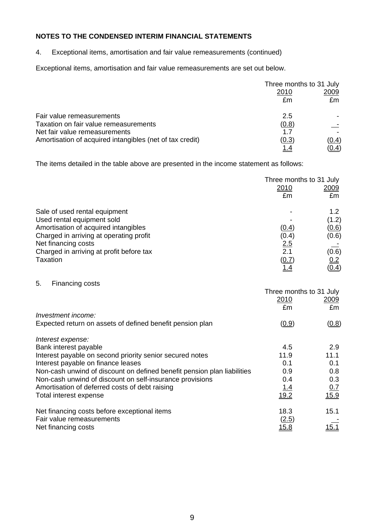4. Exceptional items, amortisation and fair value remeasurements (continued)

Exceptional items, amortisation and fair value remeasurements are set out below.

|                                                          |       | Three months to 31 July |
|----------------------------------------------------------|-------|-------------------------|
|                                                          | 2010  | 2009                    |
|                                                          | £m    | £m                      |
| Fair value remeasurements                                | 2.5   |                         |
| Taxation on fair value remeasurements                    | (0.8) |                         |
| Net fair value remeasurements                            | 17    |                         |
| Amortisation of acquired intangibles (net of tax credit) | (0.3) | (0.4)                   |
|                                                          |       | <u>(0.4)</u>            |

The items detailed in the table above are presented in the income statement as follows:

|                                          | Three months to 31 July  |            |  |
|------------------------------------------|--------------------------|------------|--|
|                                          | 2010<br>£m               | 2009<br>£m |  |
| Sale of used rental equipment            | $\overline{\phantom{0}}$ | 1.2        |  |
| Used rental equipment sold               |                          | (1.2)      |  |
| Amortisation of acquired intangibles     | (0.4)                    | (0.6)      |  |
| Charged in arriving at operating profit  | (0.4)                    | (0.6)      |  |
| Net financing costs                      | <u>2.5</u>               |            |  |
| Charged in arriving at profit before tax | 2.1                      | (0.6)      |  |
| Taxation                                 | (0.7)                    | 0.2        |  |
|                                          | <u>1.4</u>               | (0.4)      |  |

5. Financing costs

|                                                                         | Three months to 31 July |              |
|-------------------------------------------------------------------------|-------------------------|--------------|
|                                                                         | 2010                    | <u> 2009</u> |
|                                                                         | £m                      | £m           |
| Investment income:                                                      |                         |              |
| Expected return on assets of defined benefit pension plan               | (0.9)                   | (0.8)        |
| Interest expense:                                                       |                         |              |
| Bank interest payable                                                   | 4.5                     | 2.9          |
| Interest payable on second priority senior secured notes                | 11.9                    | 11.1         |
| Interest payable on finance leases                                      | 0.1                     | 0.1          |
| Non-cash unwind of discount on defined benefit pension plan liabilities | 0.9                     | 0.8          |
| Non-cash unwind of discount on self-insurance provisions                | 0.4                     | 0.3          |
| Amortisation of deferred costs of debt raising                          | <u>1.4</u>              | 0.7          |
| Total interest expense                                                  | 19.2                    | 15.9         |
| Net financing costs before exceptional items                            | 18.3                    | 15.1         |
| Fair value remeasurements                                               | (2.5)                   |              |
| Net financing costs                                                     | <u>15.8</u>             | 15.1         |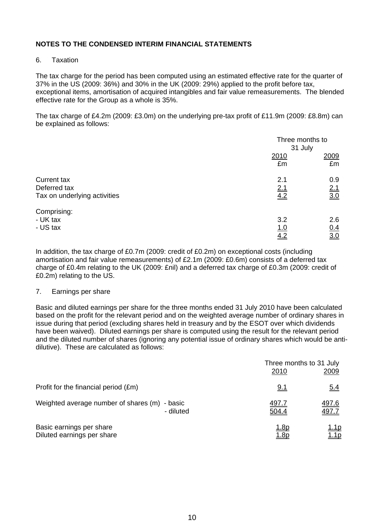#### 6. Taxation

The tax charge for the period has been computed using an estimated effective rate for the quarter of 37% in the US (2009: 36%) and 30% in the UK (2009: 29%) applied to the profit before tax, exceptional items, amortisation of acquired intangibles and fair value remeasurements. The blended effective rate for the Group as a whole is 35%.

The tax charge of £4.2m (2009: £3.0m) on the underlying pre-tax profit of £11.9m (2009: £8.8m) can be explained as follows:

|                                                             | Three months to          |                          |
|-------------------------------------------------------------|--------------------------|--------------------------|
|                                                             | 31 July                  |                          |
|                                                             | 2010<br>£m               | 2009<br>£m               |
| Current tax<br>Deferred tax<br>Tax on underlying activities | 2.1<br>2.1<br>4.2        | 0.9<br>$\frac{2.1}{3.0}$ |
| Comprising:<br>- UK tax<br>- US tax                         | 3.2<br><u>1.0</u><br>4.2 | 2.6<br>0.4<br>3.0        |

In addition, the tax charge of £0.7m (2009: credit of £0.2m) on exceptional costs (including amortisation and fair value remeasurements) of £2.1m (2009: £0.6m) consists of a deferred tax charge of £0.4m relating to the UK (2009: £nil) and a deferred tax charge of £0.3m (2009: credit of £0.2m) relating to the US.

### 7. Earnings per share

Basic and diluted earnings per share for the three months ended 31 July 2010 have been calculated based on the profit for the relevant period and on the weighted average number of ordinary shares in issue during that period (excluding shares held in treasury and by the ESOT over which dividends have been waived). Diluted earnings per share is computed using the result for the relevant period and the diluted number of shares (ignoring any potential issue of ordinary shares which would be antidilutive). These are calculated as follows:

|                                               | Three months to 31 July<br>2010 | 2009         |
|-----------------------------------------------|---------------------------------|--------------|
| Profit for the financial period (£m)          | <u>9.1</u>                      | 5.4          |
| Weighted average number of shares (m) - basic | <u>497.7</u>                    | <u>497.6</u> |
| - diluted                                     | 504.4                           | <u>497.7</u> |
| Basic earnings per share                      | <u>1.8p</u>                     | <u> 1.1p</u> |
| Diluted earnings per share                    | <u> 1.8p</u>                    | 1.1p         |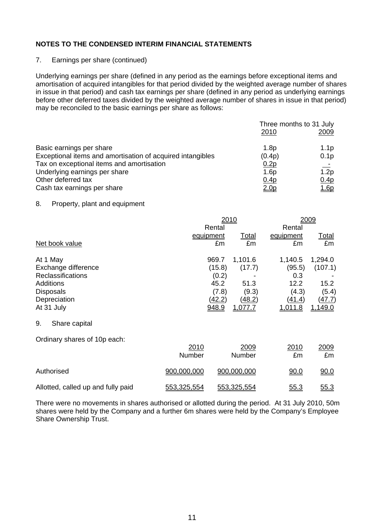#### 7. Earnings per share (continued)

Underlying earnings per share (defined in any period as the earnings before exceptional items and amortisation of acquired intangibles for that period divided by the weighted average number of shares in issue in that period) and cash tax earnings per share (defined in any period as underlying earnings before other deferred taxes divided by the weighted average number of shares in issue in that period) may be reconciled to the basic earnings per share as follows:

|                                                            | Three months to 31 July<br>2010 | 2009             |  |
|------------------------------------------------------------|---------------------------------|------------------|--|
| Basic earnings per share                                   | 1.8p                            | 1.1p             |  |
| Exceptional items and amortisation of acquired intangibles | (0.4p)                          | 0.1 <sub>p</sub> |  |
| Tax on exceptional items and amortisation                  | 0.2p                            |                  |  |
| Underlying earnings per share                              | 1.6p                            | 1.2 <sub>p</sub> |  |
| Other deferred tax                                         | 0.4 <sub>p</sub>                | 0.4 <sub>p</sub> |  |
| Cash tax earnings per share                                | <u>2.0p</u>                     | <u>1.6p</u>      |  |

#### 8. Property, plant and equipment

|                                                                                                                            |                | 2010<br>Rental                                               |                                                                |                                                                       | 2009                                                            |
|----------------------------------------------------------------------------------------------------------------------------|----------------|--------------------------------------------------------------|----------------------------------------------------------------|-----------------------------------------------------------------------|-----------------------------------------------------------------|
| Net book value                                                                                                             |                | equipment<br>£m                                              | <b>Total</b><br>£m                                             | Rental<br>equipment<br>£m                                             | <u>Total</u><br>£m                                              |
| At 1 May<br>Exchange difference<br>Reclassifications<br><b>Additions</b><br><b>Disposals</b><br>Depreciation<br>At 31 July |                | 969.7<br>(15.8)<br>(0.2)<br>45.2<br>(7.8)<br>(42.2)<br>948.9 | 1,101.6<br>(17.7)<br>51.3<br>(9.3)<br><u>(48.2)</u><br>1,077.7 | 1,140.5<br>(95.5)<br>0.3<br>12.2<br>(4.3)<br><u>(41.4)</u><br>1,011.8 | 1,294.0<br>(107.1)<br>15.2<br>(5.4)<br><u>(47.7)</u><br>1,149.0 |
| 9.<br>Share capital                                                                                                        |                |                                                              |                                                                |                                                                       |                                                                 |
| Ordinary shares of 10p each:                                                                                               | 2010<br>Number |                                                              | 2009<br>Number                                                 | 2010<br>£m                                                            | <u> 2009 </u><br>£m                                             |
| Authorised                                                                                                                 | 900,000,000    |                                                              | 900,000,000                                                    | <u>90.0</u>                                                           | 90.0                                                            |
| Allotted, called up and fully paid                                                                                         | 553,325,554    |                                                              | 553,325,554                                                    | 55.3                                                                  | 55.3                                                            |

There were no movements in shares authorised or allotted during the period. At 31 July 2010, 50m shares were held by the Company and a further 6m shares were held by the Company's Employee Share Ownership Trust.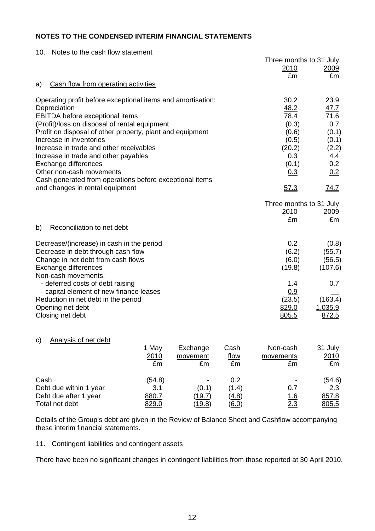| 10. Notes to the cash flow statement |  |
|--------------------------------------|--|
|                                      |  |

|                                                                                                                                                                                                                                                                                                                                                                                                                                                                                                     |                                 |                            |                                              | Three months to 31 July<br><u>2010</u>                                                          | <u> 2009 </u>                                                                              |
|-----------------------------------------------------------------------------------------------------------------------------------------------------------------------------------------------------------------------------------------------------------------------------------------------------------------------------------------------------------------------------------------------------------------------------------------------------------------------------------------------------|---------------------------------|----------------------------|----------------------------------------------|-------------------------------------------------------------------------------------------------|--------------------------------------------------------------------------------------------|
|                                                                                                                                                                                                                                                                                                                                                                                                                                                                                                     |                                 |                            |                                              | £m                                                                                              | £m                                                                                         |
| Cash flow from operating activities<br>a)                                                                                                                                                                                                                                                                                                                                                                                                                                                           |                                 |                            |                                              |                                                                                                 |                                                                                            |
| Operating profit before exceptional items and amortisation:<br>Depreciation<br><b>EBITDA</b> before exceptional items<br>(Profit)/loss on disposal of rental equipment<br>Profit on disposal of other property, plant and equipment<br>Increase in inventories<br>Increase in trade and other receivables<br>Increase in trade and other payables<br>Exchange differences<br>Other non-cash movements<br>Cash generated from operations before exceptional items<br>and changes in rental equipment |                                 |                            |                                              | 30.2<br>48.2<br>78.4<br>(0.3)<br>(0.6)<br>(0.5)<br>(20.2)<br>0.3<br>(0.1)<br>0.3<br><u>57.3</u> | 23.9<br>47.7<br>71.6<br>0.7<br>(0.1)<br>(0.1)<br>(2.2)<br>4.4<br>0.2<br>0.2<br><u>74.7</u> |
| Reconciliation to net debt<br>b)                                                                                                                                                                                                                                                                                                                                                                                                                                                                    |                                 |                            |                                              | Three months to 31 July<br>2010<br>£m                                                           | <u>2009</u><br>£m                                                                          |
| Decrease/(increase) in cash in the period<br>Decrease in debt through cash flow<br>Change in net debt from cash flows<br>Exchange differences                                                                                                                                                                                                                                                                                                                                                       |                                 |                            |                                              | 0.2<br>(6.2)<br>(6.0)<br>(19.8)                                                                 | (0.8)<br>(55.7)<br>(56.5)<br>(107.6)                                                       |
| Non-cash movements:<br>- deferred costs of debt raising<br>- capital element of new finance leases<br>Reduction in net debt in the period<br>Opening net debt<br>Closing net debt                                                                                                                                                                                                                                                                                                                   |                                 |                            |                                              | 1.4<br>0.9<br>(23.5)<br>829.0<br>805.5                                                          | 0.7<br>(163.4)<br>1,035.9<br>872.5                                                         |
| c) Analysis of net debt                                                                                                                                                                                                                                                                                                                                                                                                                                                                             | 1 May<br>2010<br>£m             | Exchange<br>movement<br>£m | Cash<br>flow<br>£m                           | Non-cash<br>movements<br>£m                                                                     | 31 July<br>2010<br>£m                                                                      |
| Cash<br>Debt due within 1 year<br>Debt due after 1 year<br>Total net debt                                                                                                                                                                                                                                                                                                                                                                                                                           | (54.8)<br>3.1<br>880.7<br>829.0 | (0.1)<br>(19.7)<br>(19.8)  | 0.2<br>(1.4)<br>(4.8)<br>$\underline{(6.0)}$ | 0.7<br><u>1.6</u><br>$\frac{2.3}{ }$                                                            | (54.6)<br>2.3<br>857.8<br>805.5                                                            |

Details of the Group's debt are given in the Review of Balance Sheet and Cashflow accompanying these interim financial statements.

### 11. Contingent liabilities and contingent assets

There have been no significant changes in contingent liabilities from those reported at 30 April 2010.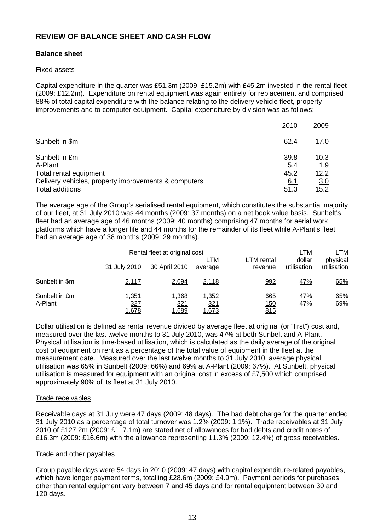# **REVIEW OF BALANCE SHEET AND CASH FLOW**

#### **Balance sheet**

#### Fixed assets

Capital expenditure in the quarter was £51.3m (2009: £15.2m) with £45.2m invested in the rental fleet (2009: £12.2m). Expenditure on rental equipment was again entirely for replacement and comprised 88% of total capital expenditure with the balance relating to the delivery vehicle fleet, property improvements and to computer equipment. Capital expenditure by division was as follows:

|                                                      | 2010        | 2009               |
|------------------------------------------------------|-------------|--------------------|
| Sunbelt in \$m                                       | 62.4        | <u>17.0</u>        |
| Sunbelt in £m<br>A-Plant                             | 39.8<br>5.4 | 10.3<br><u>1.9</u> |
| Total rental equipment                               | 45.2        | 12.2               |
| Delivery vehicles, property improvements & computers | <u>6.1</u>  | <u>3.0</u>         |
| <b>Total additions</b>                               | <u>51.3</u> | <u> 15.2</u>       |

The average age of the Group's serialised rental equipment, which constitutes the substantial majority of our fleet, at 31 July 2010 was 44 months (2009: 37 months) on a net book value basis. Sunbelt's fleet had an average age of 46 months (2009: 40 months) comprising 47 months for aerial work platforms which have a longer life and 44 months for the remainder of its fleet while A-Plant's fleet had an average age of 38 months (2009: 29 months).

| Rental fleet at original cost |                       |                              |                              |                          | LTM                   | LTM                     |
|-------------------------------|-----------------------|------------------------------|------------------------------|--------------------------|-----------------------|-------------------------|
|                               | 31 July 2010          | 30 April 2010                | LTM<br>average               | LTM rental<br>revenue    | dollar<br>utilisation | physical<br>utilisation |
| Sunbelt in \$m                | 2,117                 | 2,094                        | 2,118                        | <u>992</u>               | 47%                   | 65%                     |
| Sunbelt in £m<br>A-Plant      | 1,351<br>327<br>1,678 | 1.368<br><u>321</u><br>1,689 | 1,352<br><u>321</u><br>1,673 | 665<br><u>150</u><br>815 | 47%<br><u>47%</u>     | 65%<br>69%              |

Dollar utilisation is defined as rental revenue divided by average fleet at original (or "first") cost and, measured over the last twelve months to 31 July 2010, was 47% at both Sunbelt and A-Plant. Physical utilisation is time-based utilisation, which is calculated as the daily average of the original cost of equipment on rent as a percentage of the total value of equipment in the fleet at the measurement date. Measured over the last twelve months to 31 July 2010, average physical utilisation was 65% in Sunbelt (2009: 66%) and 69% at A-Plant (2009: 67%). At Sunbelt, physical utilisation is measured for equipment with an original cost in excess of £7,500 which comprised approximately 90% of its fleet at 31 July 2010.

#### Trade receivables

Receivable days at 31 July were 47 days (2009: 48 days). The bad debt charge for the quarter ended 31 July 2010 as a percentage of total turnover was 1.2% (2009: 1.1%). Trade receivables at 31 July 2010 of £127.2m (2009: £117.1m) are stated net of allowances for bad debts and credit notes of £16.3m (2009: £16.6m) with the allowance representing 11.3% (2009: 12.4%) of gross receivables.

#### Trade and other payables

Group payable days were 54 days in 2010 (2009: 47 days) with capital expenditure-related payables, which have longer payment terms, totalling £28.6m (2009: £4.9m). Payment periods for purchases other than rental equipment vary between 7 and 45 days and for rental equipment between 30 and 120 days.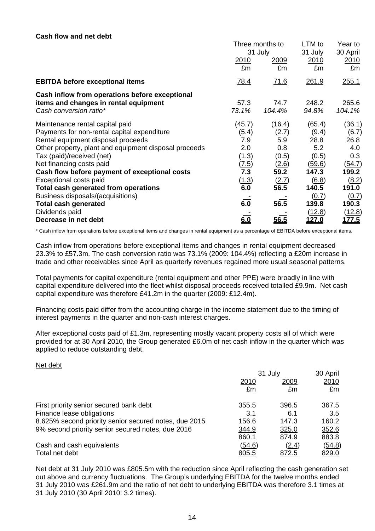#### **Cash flow and net debt**

|                                                       | Three months to<br>31 July |             | LTM to        | Year to         |
|-------------------------------------------------------|----------------------------|-------------|---------------|-----------------|
|                                                       |                            |             | 31 July       | 30 April        |
|                                                       | 2010                       | <u>2009</u> | <u> 2010</u>  | 2010            |
|                                                       | £m                         | £m          | £m            | £m              |
| <b>EBITDA before exceptional items</b>                | <u>78.4</u>                | <u>71.6</u> | <u>261.9</u>  | 255.1           |
| Cash inflow from operations before exceptional        |                            |             |               |                 |
| items and changes in rental equipment                 | 57.3                       | 74.7        | 248.2         | 265.6           |
| Cash conversion ratio*                                | 73.1%                      | 104.4%      | 94.8%         | 104.1%          |
| Maintenance rental capital paid                       | (45.7)                     | (16.4)      | (65.4)        | (36.1)          |
| Payments for non-rental capital expenditure           | (5.4)                      | (2.7)       | (9.4)         | (6.7)           |
| Rental equipment disposal proceeds                    | 7.9                        | 5.9         | 28.8          | 26.8            |
| Other property, plant and equipment disposal proceeds | 2.0                        | 0.8         | 5.2           | 4.0             |
| Tax (paid)/received (net)                             | (1.3)                      | (0.5)       | (0.5)         | 0.3             |
| Net financing costs paid                              | (7.5)                      | (2.6)       | (59.6)        | ( <u>54.7</u> ) |
| Cash flow before payment of exceptional costs         | 7.3                        | 59.2        | 147.3         | 199.2           |
| Exceptional costs paid                                | (1.3)                      | (2.7)       | (6.8)         | (8.2)           |
| Total cash generated from operations                  | 6.0                        | 56.5        | 140.5         | 191.0           |
| Business disposals/(acquisitions)                     |                            |             | (0.7)         | (0.7)           |
| <b>Total cash generated</b>                           | 6.0                        | 56.5        | 139.8         | 190.3           |
| Dividends paid                                        |                            |             | (12.8)        | (12.8)          |
| Decrease in net debt                                  | 6.0                        | 56.5        | <u> 127.0</u> | <u> 177.5</u>   |

\* Cash inflow from operations before exceptional items and changes in rental equipment as a percentage of EBITDA before exceptional items.

Cash inflow from operations before exceptional items and changes in rental equipment decreased 23.3% to £57.3m. The cash conversion ratio was 73.1% (2009: 104.4%) reflecting a £20m increase in trade and other receivables since April as quarterly revenues regained more usual seasonal patterns.

Total payments for capital expenditure (rental equipment and other PPE) were broadly in line with capital expenditure delivered into the fleet whilst disposal proceeds received totalled £9.9m. Net cash capital expenditure was therefore £41.2m in the quarter (2009: £12.4m).

Financing costs paid differ from the accounting charge in the income statement due to the timing of interest payments in the quarter and non-cash interest charges.

After exceptional costs paid of £1.3m, representing mostly vacant property costs all of which were provided for at 30 April 2010, the Group generated £6.0m of net cash inflow in the quarter which was applied to reduce outstanding debt.

#### Net debt

|                                                       | 31 July     |              | 30 April     |  |
|-------------------------------------------------------|-------------|--------------|--------------|--|
|                                                       | <u>2010</u> | 2009         | 2010         |  |
|                                                       | £m          | £m           | £m           |  |
| First priority senior secured bank debt               | 355.5       | 396.5        | 367.5        |  |
| Finance lease obligations                             | 3.1         | 6.1          | 3.5          |  |
| 8.625% second priority senior secured notes, due 2015 | 156.6       | 147.3        | 160.2        |  |
| 9% second priority senior secured notes, due 2016     | 344.9       | 325.0        | 352.6        |  |
|                                                       | 860.1       | 874.9        | 883.8        |  |
| Cash and cash equivalents                             | (54.6)      | (2.4)        | (54.8)       |  |
| Total net debt                                        | 805.5       | <u>872.5</u> | <u>829.0</u> |  |

Net debt at 31 July 2010 was £805.5m with the reduction since April reflecting the cash generation set out above and currency fluctuations. The Group's underlying EBITDA for the twelve months ended 31 July 2010 was £261.9m and the ratio of net debt to underlying EBITDA was therefore 3.1 times at 31 July 2010 (30 April 2010: 3.2 times).